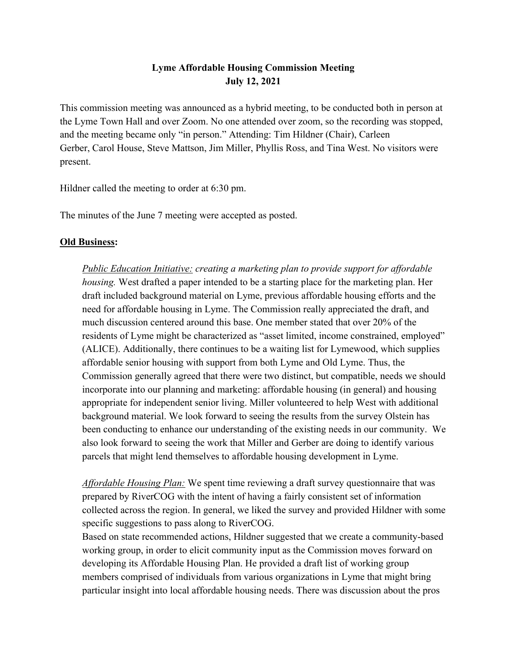## **Lyme Affordable Housing Commission Meeting July 12, 2021**

This commission meeting was announced as a hybrid meeting, to be conducted both in person at the Lyme Town Hall and over Zoom. No one attended over zoom, so the recording was stopped, and the meeting became only "in person." Attending: Tim Hildner (Chair), Carleen Gerber, Carol House, Steve Mattson, Jim Miller, Phyllis Ross, and Tina West. No visitors were present.

Hildner called the meeting to order at 6:30 pm.

The minutes of the June 7 meeting were accepted as posted.

## **Old Business:**

*Public Education Initiative: creating a marketing plan to provide support for affordable housing.* West drafted a paper intended to be a starting place for the marketing plan. Her draft included background material on Lyme, previous affordable housing efforts and the need for affordable housing in Lyme. The Commission really appreciated the draft, and much discussion centered around this base. One member stated that over 20% of the residents of Lyme might be characterized as "asset limited, income constrained, employed" (ALICE). Additionally, there continues to be a waiting list for Lymewood, which supplies affordable senior housing with support from both Lyme and Old Lyme. Thus, the Commission generally agreed that there were two distinct, but compatible, needs we should incorporate into our planning and marketing: affordable housing (in general) and housing appropriate for independent senior living. Miller volunteered to help West with additional background material. We look forward to seeing the results from the survey Olstein has been conducting to enhance our understanding of the existing needs in our community. We also look forward to seeing the work that Miller and Gerber are doing to identify various parcels that might lend themselves to affordable housing development in Lyme.

*Affordable Housing Plan:* We spent time reviewing a draft survey questionnaire that was prepared by RiverCOG with the intent of having a fairly consistent set of information collected across the region. In general, we liked the survey and provided Hildner with some specific suggestions to pass along to RiverCOG.

Based on state recommended actions, Hildner suggested that we create a community-based working group, in order to elicit community input as the Commission moves forward on developing its Affordable Housing Plan. He provided a draft list of working group members comprised of individuals from various organizations in Lyme that might bring particular insight into local affordable housing needs. There was discussion about the pros